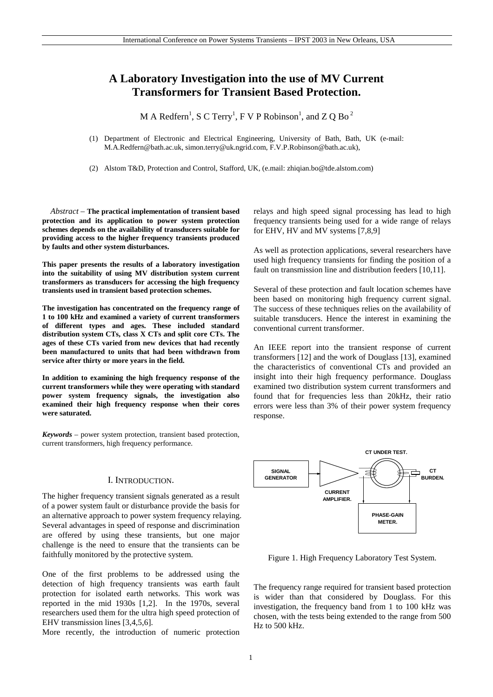# **A Laboratory Investigation into the use of MV Current Transformers for Transient Based Protection.**

M A Redfern<sup>1</sup>, S C Terry<sup>1</sup>, F V P Robinson<sup>1</sup>, and Z Q Bo<sup>2</sup>

(1) Department of Electronic and Electrical Engineering, University of Bath, Bath, UK (e-mail: M.A.Redfern@bath.ac.uk, simon.terry@uk.ngrid.com, F.V.P.Robinson@bath.ac.uk),

(2) Alstom T&D, Protection and Control, Stafford, UK, (e.mail: zhiqian.bo@tde.alstom.com)

*Abstract* – **The practical implementation of transient based protection and its application to power system protection schemes depends on the availability of transducers suitable for providing access to the higher frequency transients produced by faults and other system disturbances.** 

**This paper presents the results of a laboratory investigation into the suitability of using MV distribution system current transformers as transducers for accessing the high frequency transients used in transient based protection schemes.** 

**The investigation has concentrated on the frequency range of 1 to 100 kHz and examined a variety of current transformers of different types and ages. These included standard distribution system CTs, class X CTs and split core CTs. The ages of these CTs varied from new devices that had recently been manufactured to units that had been withdrawn from service after thirty or more years in the field.** 

**In addition to examining the high frequency response of the current transformers while they were operating with standard power system frequency signals, the investigation also examined their high frequency response when their cores were saturated.** 

*Keywords* – power system protection, transient based protection, current transformers, high frequency performance.

## I. INTRODUCTION.

The higher frequency transient signals generated as a result of a power system fault or disturbance provide the basis for an alternative approach to power system frequency relaying. Several advantages in speed of response and discrimination are offered by using these transients, but one major challenge is the need to ensure that the transients can be faithfully monitored by the protective system.

One of the first problems to be addressed using the detection of high frequency transients was earth fault protection for isolated earth networks. This work was reported in the mid 1930s [1,2]. In the 1970s, several researchers used them for the ultra high speed protection of EHV transmission lines [3,4,5,6].

More recently, the introduction of numeric protection

relays and high speed signal processing has lead to high frequency transients being used for a wide range of relays for EHV, HV and MV systems [7,8,9]

As well as protection applications, several researchers have used high frequency transients for finding the position of a fault on transmission line and distribution feeders [10,11].

Several of these protection and fault location schemes have been based on monitoring high frequency current signal. The success of these techniques relies on the availability of suitable transducers. Hence the interest in examining the conventional current transformer.

An IEEE report into the transient response of current transformers [12] and the work of Douglass [13], examined the characteristics of conventional CTs and provided an insight into their high frequency performance. Douglass examined two distribution system current transformers and found that for frequencies less than 20kHz, their ratio errors were less than 3% of their power system frequency response.



Figure 1. High Frequency Laboratory Test System.

The frequency range required for transient based protection is wider than that considered by Douglass. For this investigation, the frequency band from 1 to 100 kHz was chosen, with the tests being extended to the range from 500 Hz to 500 kHz.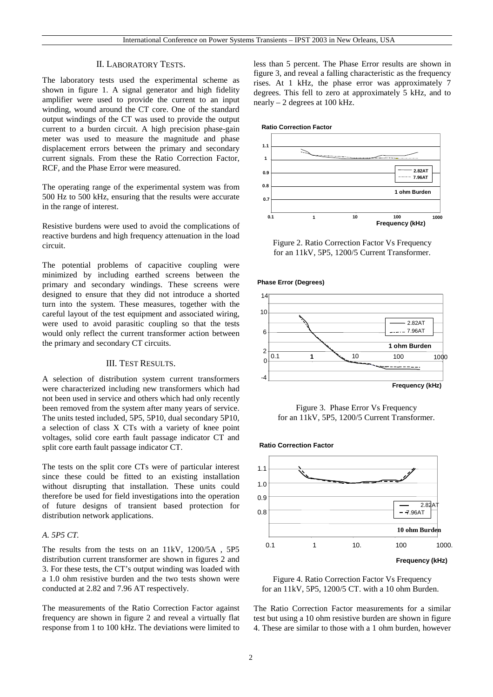# II. LABORATORY TESTS.

The laboratory tests used the experimental scheme as shown in figure 1. A signal generator and high fidelity amplifier were used to provide the current to an input winding, wound around the CT core. One of the standard output windings of the CT was used to provide the output current to a burden circuit. A high precision phase-gain meter was used to measure the magnitude and phase displacement errors between the primary and secondary current signals. From these the Ratio Correction Factor, RCF, and the Phase Error were measured.

The operating range of the experimental system was from 500 Hz to 500 kHz, ensuring that the results were accurate in the range of interest.

Resistive burdens were used to avoid the complications of reactive burdens and high frequency attenuation in the load circuit.

The potential problems of capacitive coupling were minimized by including earthed screens between the primary and secondary windings. These screens were designed to ensure that they did not introduce a shorted turn into the system. These measures, together with the careful layout of the test equipment and associated wiring, were used to avoid parasitic coupling so that the tests would only reflect the current transformer action between the primary and secondary CT circuits.

# III. TEST RESULTS.

A selection of distribution system current transformers were characterized including new transformers which had not been used in service and others which had only recently been removed from the system after many years of service. The units tested included, 5P5, 5P10, dual secondary 5P10, a selection of class X CTs with a variety of knee point voltages, solid core earth fault passage indicator CT and split core earth fault passage indicator CT.

The tests on the split core CTs were of particular interest since these could be fitted to an existing installation without disrupting that installation. These units could therefore be used for field investigations into the operation of future designs of transient based protection for distribution network applications.

## *A. 5P5 CT.*

The results from the tests on an 11kV, 1200/5A , 5P5 distribution current transformer are shown in figures 2 and 3. For these tests, the CT's output winding was loaded with a 1.0 ohm resistive burden and the two tests shown were conducted at 2.82 and 7.96 AT respectively.

The measurements of the Ratio Correction Factor against frequency are shown in figure 2 and reveal a virtually flat response from 1 to 100 kHz. The deviations were limited to less than 5 percent. The Phase Error results are shown in figure 3, and reveal a falling characteristic as the frequency rises. At 1 kHz, the phase error was approximately 7 degrees. This fell to zero at approximately 5 kHz, and to nearly – 2 degrees at 100 kHz.



Figure 2. Ratio Correction Factor Vs Frequency for an 11kV, 5P5, 1200/5 Current Transformer.





Figure 3. Phase Error Vs Frequency for an 11kV, 5P5, 1200/5 Current Transformer.



Figure 4. Ratio Correction Factor Vs Frequency for an 11kV, 5P5, 1200/5 CT. with a 10 ohm Burden.

The Ratio Correction Factor measurements for a similar test but using a 10 ohm resistive burden are shown in figure 4. These are similar to those with a 1 ohm burden, however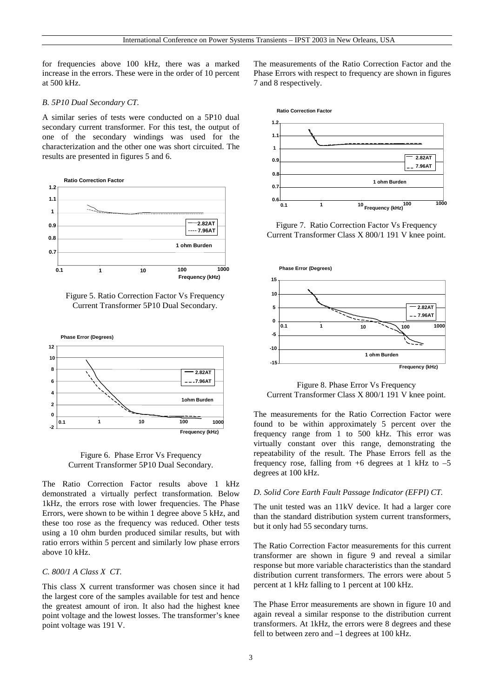for frequencies above 100 kHz, there was a marked increase in the errors. These were in the order of 10 percent at 500 kHz.

## *B. 5P10 Dual Secondary CT.*

A similar series of tests were conducted on a 5P10 dual secondary current transformer. For this test, the output of one of the secondary windings was used for the characterization and the other one was short circuited. The results are presented in figures 5 and 6.



Figure 5. Ratio Correction Factor Vs Frequency Current Transformer 5P10 Dual Secondary.



Figure 6. Phase Error Vs Frequency Current Transformer 5P10 Dual Secondary.

The Ratio Correction Factor results above 1 kHz demonstrated a virtually perfect transformation. Below 1kHz, the errors rose with lower frequencies. The Phase Errors, were shown to be within 1 degree above 5 kHz, and these too rose as the frequency was reduced. Other tests using a 10 ohm burden produced similar results, but with ratio errors within 5 percent and similarly low phase errors above 10 kHz.

## *C. 800/1 A Class X CT.*

This class X current transformer was chosen since it had the largest core of the samples available for test and hence the greatest amount of iron. It also had the highest knee point voltage and the lowest losses. The transformer's knee point voltage was 191 V.

The measurements of the Ratio Correction Factor and the Phase Errors with respect to frequency are shown in figures 7 and 8 respectively.



Figure 7. Ratio Correction Factor Vs Frequency Current Transformer Class X 800/1 191 V knee point.



Figure 8. Phase Error Vs Frequency Current Transformer Class X 800/1 191 V knee point.

The measurements for the Ratio Correction Factor were found to be within approximately 5 percent over the frequency range from 1 to 500 kHz. This error was virtually constant over this range, demonstrating the repeatability of the result. The Phase Errors fell as the frequency rose, falling from  $+6$  degrees at 1 kHz to  $-5$ degrees at 100 kHz.

#### *D. Solid Core Earth Fault Passage Indicator (EFPI) CT.*

The unit tested was an 11kV device. It had a larger core than the standard distribution system current transformers, but it only had 55 secondary turns.

The Ratio Correction Factor measurements for this current transformer are shown in figure 9 and reveal a similar response but more variable characteristics than the standard distribution current transformers. The errors were about 5 percent at 1 kHz falling to 1 percent at 100 kHz.

The Phase Error measurements are shown in figure 10 and again reveal a similar response to the distribution current transformers. At 1kHz, the errors were 8 degrees and these fell to between zero and –1 degrees at 100 kHz.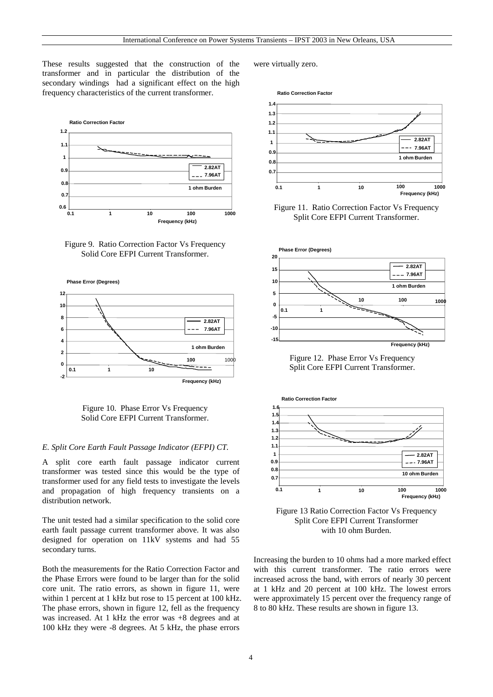These results suggested that the construction of the transformer and in particular the distribution of the secondary windings had a significant effect on the high frequency characteristics of the current transformer.



Figure 9. Ratio Correction Factor Vs Frequency Solid Core EFPI Current Transformer.



Figure 10. Phase Error Vs Frequency Solid Core EFPI Current Transformer.

# *E. Split Core Earth Fault Passage Indicator (EFPI) CT.*

A split core earth fault passage indicator current transformer was tested since this would be the type of transformer used for any field tests to investigate the levels and propagation of high frequency transients on a distribution network.

The unit tested had a similar specification to the solid core earth fault passage current transformer above. It was also designed for operation on 11kV systems and had 55 secondary turns.

Both the measurements for the Ratio Correction Factor and the Phase Errors were found to be larger than for the solid core unit. The ratio errors, as shown in figure 11, were within 1 percent at 1 kHz but rose to 15 percent at 100 kHz. The phase errors, shown in figure 12, fell as the frequency was increased. At 1 kHz the error was +8 degrees and at 100 kHz they were -8 degrees. At 5 kHz, the phase errors

were virtually zero.



Figure 11. Ratio Correction Factor Vs Frequency Split Core EFPI Current Transformer.



Figure 12. Phase Error Vs Frequency Split Core EFPI Current Transformer.



Figure 13 Ratio Correction Factor Vs Frequency Split Core EFPI Current Transformer with 10 ohm Burden.

Increasing the burden to 10 ohms had a more marked effect with this current transformer. The ratio errors were increased across the band, with errors of nearly 30 percent at 1 kHz and 20 percent at 100 kHz. The lowest errors were approximately 15 percent over the frequency range of 8 to 80 kHz. These results are shown in figure 13.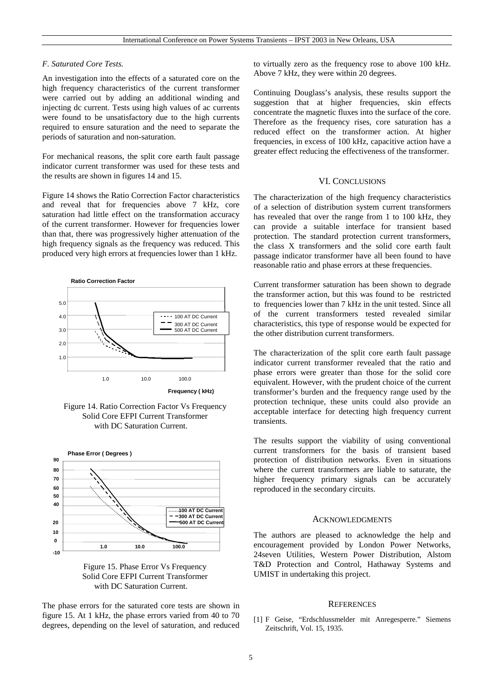## *F. Saturated Core Tests.*

An investigation into the effects of a saturated core on the high frequency characteristics of the current transformer were carried out by adding an additional winding and injecting dc current. Tests using high values of ac currents were found to be unsatisfactory due to the high currents required to ensure saturation and the need to separate the periods of saturation and non-saturation.

For mechanical reasons, the split core earth fault passage indicator current transformer was used for these tests and the results are shown in figures 14 and 15.

Figure 14 shows the Ratio Correction Factor characteristics and reveal that for frequencies above 7 kHz, core saturation had little effect on the transformation accuracy of the current transformer. However for frequencies lower than that, there was progressively higher attenuation of the high frequency signals as the frequency was reduced. This produced very high errors at frequencies lower than 1 kHz.



Figure 14. Ratio Correction Factor Vs Frequency Solid Core EFPI Current Transformer with DC Saturation Current.





The phase errors for the saturated core tests are shown in figure 15. At 1 kHz, the phase errors varied from 40 to 70 degrees, depending on the level of saturation, and reduced to virtually zero as the frequency rose to above 100 kHz. Above 7 kHz, they were within 20 degrees.

Continuing Douglass's analysis, these results support the suggestion that at higher frequencies, skin effects concentrate the magnetic fluxes into the surface of the core. Therefore as the frequency rises, core saturation has a reduced effect on the transformer action. At higher frequencies, in excess of 100 kHz, capacitive action have a greater effect reducing the effectiveness of the transformer.

#### VI. CONCLUSIONS

The characterization of the high frequency characteristics of a selection of distribution system current transformers has revealed that over the range from 1 to 100 kHz, they can provide a suitable interface for transient based protection. The standard protection current transformers, the class X transformers and the solid core earth fault passage indicator transformer have all been found to have reasonable ratio and phase errors at these frequencies.

Current transformer saturation has been shown to degrade the transformer action, but this was found to be restricted to frequencies lower than 7 kHz in the unit tested. Since all of the current transformers tested revealed similar characteristics, this type of response would be expected for the other distribution current transformers.

The characterization of the split core earth fault passage indicator current transformer revealed that the ratio and phase errors were greater than those for the solid core equivalent. However, with the prudent choice of the current transformer's burden and the frequency range used by the protection technique, these units could also provide an acceptable interface for detecting high frequency current transients.

The results support the viability of using conventional current transformers for the basis of transient based protection of distribution networks. Even in situations where the current transformers are liable to saturate, the higher frequency primary signals can be accurately reproduced in the secondary circuits.

#### ACKNOWLEDGMENTS

The authors are pleased to acknowledge the help and encouragement provided by London Power Networks, 24seven Utilities, Western Power Distribution, Alstom T&D Protection and Control, Hathaway Systems and UMIST in undertaking this project.

## **REFERENCES**

[1] F Geise, "Erdschlussmelder mit Anregesperre." Siemens Zeitschrift, Vol. 15, 1935.